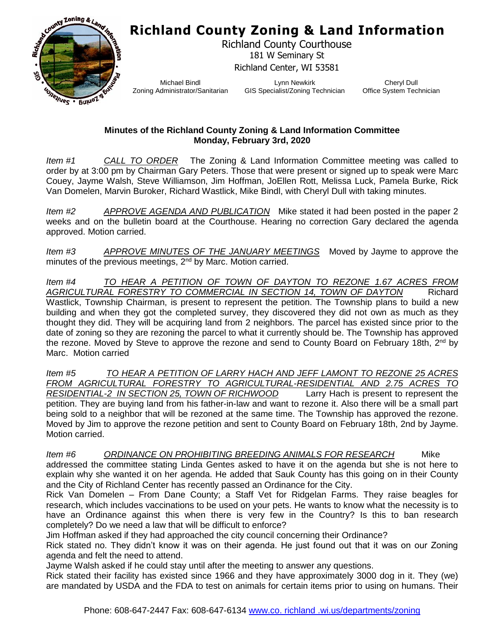## **Richland County Zoning & Land Information**



Richland County Courthouse 181 W Seminary St Richland Center, WI 53581

Michael Bindl Zoning Administrator/Sanitarian

Lynn Newkirk GIS Specialist/Zoning Technician

Cheryl Dull Office System Technician

## **Minutes of the Richland County Zoning & Land Information Committee Monday, February 3rd, 2020**

*Item #1 CALL TO ORDER* The Zoning & Land Information Committee meeting was called to order by at 3:00 pm by Chairman Gary Peters. Those that were present or signed up to speak were Marc Couey, Jayme Walsh, Steve Williamson, Jim Hoffman, JoEllen Rott, Melissa Luck, Pamela Burke, Rick Van Domelen, Marvin Buroker, Richard Wastlick, Mike Bindl, with Cheryl Dull with taking minutes.

*Item #2 APPROVE AGENDA AND PUBLICATION* Mike stated it had been posted in the paper 2 weeks and on the bulletin board at the Courthouse. Hearing no correction Gary declared the agenda approved. Motion carried.

*Item #3 APPROVE MINUTES OF THE JANUARY MEETINGS* Moved by Jayme to approve the minutes of the previous meetings, 2<sup>nd</sup> by Marc. Motion carried.

*Item #4 TO HEAR A PETITION OF TOWN OF DAYTON TO REZONE 1.67 ACRES FROM AGRICULTURAL FORESTRY TO COMMERCIAL IN SECTION 14, TOWN OF DAYTON* Richard Wastlick, Township Chairman, is present to represent the petition. The Township plans to build a new building and when they got the completed survey, they discovered they did not own as much as they thought they did. They will be acquiring land from 2 neighbors. The parcel has existed since prior to the date of zoning so they are rezoning the parcel to what it currently should be. The Township has approved the rezone. Moved by Steve to approve the rezone and send to County Board on February 18th, 2<sup>nd</sup> by Marc. Motion carried

*Item #5 TO HEAR A PETITION OF LARRY HACH AND JEFF LAMONT TO REZONE 25 ACRES FROM AGRICULTURAL FORESTRY TO AGRICULTURAL-RESIDENTIAL AND 2.75 ACRES TO RESIDENTIAL-2 IN SECTION 25, TOWN OF RICHWOOD* Larry Hach is present to represent the petition. They are buying land from his father-in-law and want to rezone it. Also there will be a small part being sold to a neighbor that will be rezoned at the same time. The Township has approved the rezone. Moved by Jim to approve the rezone petition and sent to County Board on February 18th, 2nd by Jayme. Motion carried.

*Item #6 ORDINANCE ON PROHIBITING BREEDING ANIMALS FOR RESEARCH* Mike addressed the committee stating Linda Gentes asked to have it on the agenda but she is not here to explain why she wanted it on her agenda. He added that Sauk County has this going on in their County and the City of Richland Center has recently passed an Ordinance for the City.

Rick Van Domelen – From Dane County; a Staff Vet for Ridgelan Farms. They raise beagles for research, which includes vaccinations to be used on your pets. He wants to know what the necessity is to have an Ordinance against this when there is very few in the Country? Is this to ban research completely? Do we need a law that will be difficult to enforce?

Jim Hoffman asked if they had approached the city council concerning their Ordinance?

Rick stated no. They didn't know it was on their agenda. He just found out that it was on our Zoning agenda and felt the need to attend.

Jayme Walsh asked if he could stay until after the meeting to answer any questions.

Rick stated their facility has existed since 1966 and they have approximately 3000 dog in it. They (we) are mandated by USDA and the FDA to test on animals for certain items prior to using on humans. Their